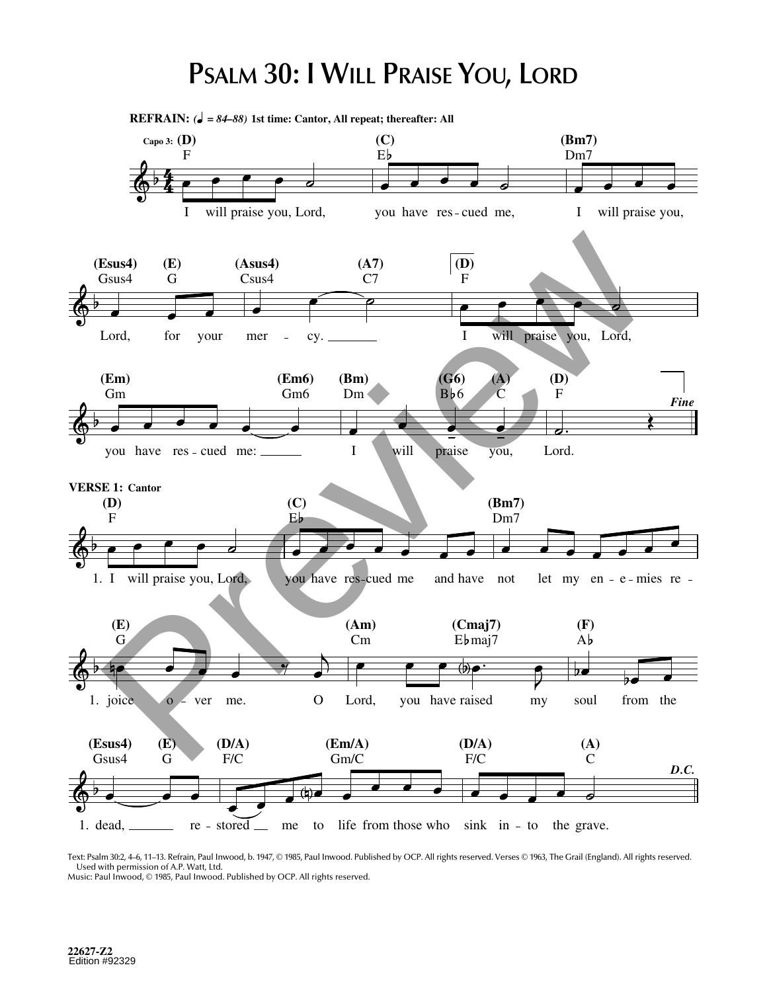## **PSALM 30: I WILL PRAISE YOU, LORD**

1. dead, **(Esus4)** Gsus4 **(E)** G re - stored <u>end</u> me to life from those who sink in - to the grave. **(D/A)** F/C **(Em/A)** Gm/C **(D/A)** F/C **(A)** C *D.C.* 1. joice **(E)** G o - ver me. O **(Am)** Cm Lord, you have raised my **(Cmaj7)**  $Eb$ maj7 **(F)** A soul from the **VERSE 1: Cantor** 1. I will praise you, Lord, **(D)** F **(C)** E you have res-cued me and have not **(Bm7)** Dm7 let my en  $-e$  - mies re -**(Em)** you have res cued me: Gm **(Em6)** Gm6 **(Bm)** I Dm will **(G6)**  $Bb6$ praise **(A)** you,  $\check{\text{C}}$ **(D)** F Lord. *Fine* Lord, **(Esus4)** Gsus4 **(E)** G for your mer **(Asus4)** Csus4 cy. **(A7)** C7 **(D)** F I will praise you, Lord, **REFRAIN:** *( = 84–88)* **1st time: Cantor, All repeat; thereafter: All Capo 3: (D)** F I will praise you, Lord, **(C)** E you have res-cued me, **(Bm7)** Dm7 I will praise you, Esus4) (E)  $(3x)(4)$  (Saus4)  $(47)$  (D)<br>
Csus4 G Csus4<br>
Csus4 G Csus4<br>
Cond<br>
Lord, for your mer cy, T<br>
(Em) (Em) (Em) (B)<br>
Om<br>
Com<br>
Com<br>
Com<br>
Preview Cond<br>
Preview Cond<br>
Preview Cond<br>
Preview Cond<br>
Preview Cond<br>
Com<br>
Com<br>

Text: Psalm 30:2, 4–6, 11–13. Refrain, Paul Inwood, b. 1947, © 1985, Paul Inwood. Published by OCP. All rights reserved. Verses © 1963, The Grail (England). All rights reserved. Used with permission of A.P. Watt, Ltd. Music: Paul Inwood, © 1985, Paul Inwood. Published by OCP. All rights reserved.